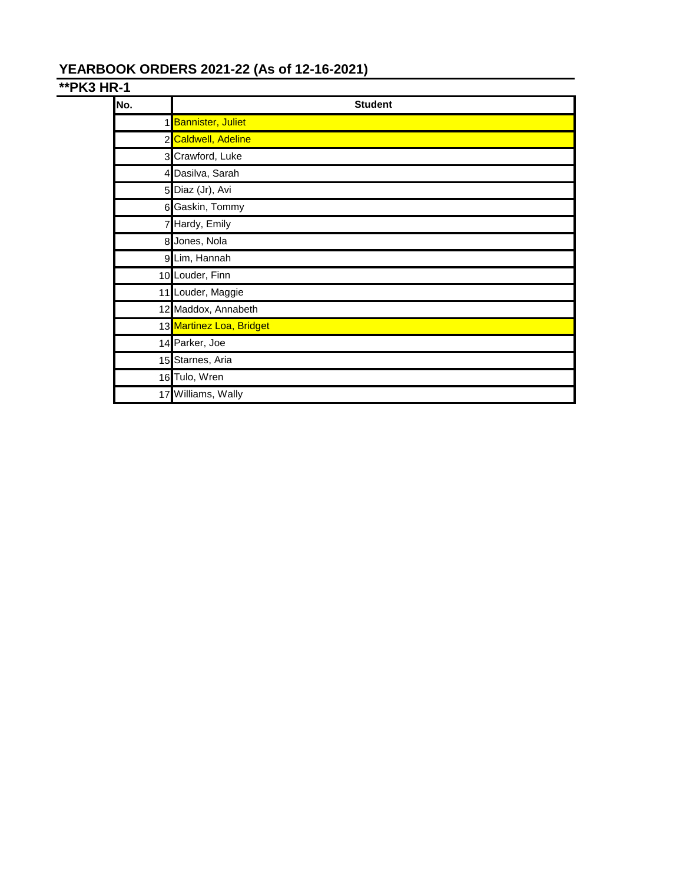# **YEARBOOK ORDERS 2021-22 (As of 12-16-2021)**

# **\*\*PK3 HR-1**

| No. | <b>Student</b>           |
|-----|--------------------------|
|     | 1 Bannister, Juliet      |
|     | 2 Caldwell, Adeline      |
|     | 3 Crawford, Luke         |
|     | 4 Dasilva, Sarah         |
|     | 5 Diaz (Jr), Avi         |
|     | 6 Gaskin, Tommy          |
|     | 7 Hardy, Emily           |
|     | 8 Jones, Nola            |
|     | 9 Lim, Hannah            |
|     | 10 Louder, Finn          |
|     | 11 Louder, Maggie        |
|     | 12 Maddox, Annabeth      |
|     | 13 Martinez Loa, Bridget |
|     | 14 Parker, Joe           |
|     | 15 Starnes, Aria         |
|     | 16 Tulo, Wren            |
|     | 17 Williams, Wally       |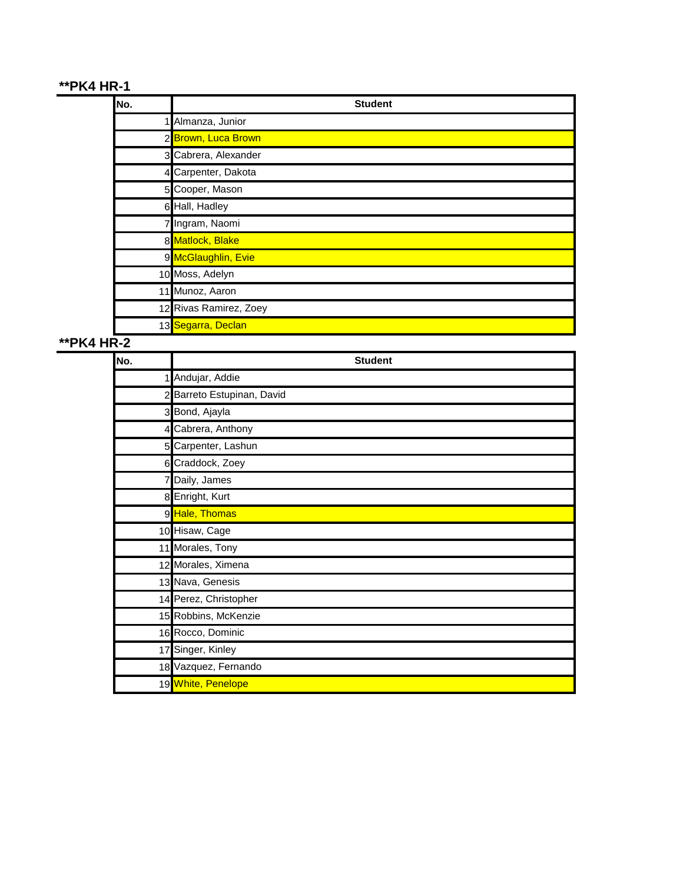# **\*\*PK4 HR-1**

| No. | <b>Student</b>         |
|-----|------------------------|
|     | 1 Almanza, Junior      |
|     | 2 Brown, Luca Brown    |
|     | 3 Cabrera, Alexander   |
|     | 4 Carpenter, Dakota    |
|     | 5 Cooper, Mason        |
|     | 6 Hall, Hadley         |
|     | 7 Ingram, Naomi        |
|     | 8 Matlock, Blake       |
|     | 9 McGlaughlin, Evie    |
|     | 10 Moss, Adelyn        |
|     | 11 Munoz, Aaron        |
|     | 12 Rivas Ramirez, Zoey |
|     | 13 Segarra, Declan     |

# **\*\*PK4 HR-2**

| No. | <b>Student</b>             |
|-----|----------------------------|
|     | 1 Andujar, Addie           |
|     | 2 Barreto Estupinan, David |
|     | 3 Bond, Ajayla             |
|     | 4 Cabrera, Anthony         |
|     | 5 Carpenter, Lashun        |
|     | 6 Craddock, Zoey           |
|     | 7 Daily, James             |
|     | 8 Enright, Kurt            |
|     | 9 Hale, Thomas             |
|     | 10 Hisaw, Cage             |
|     | 11 Morales, Tony           |
|     | 12 Morales, Ximena         |
|     | 13 Nava, Genesis           |
|     | 14 Perez, Christopher      |
|     | 15 Robbins, McKenzie       |
|     | 16 Rocco, Dominic          |
| 17  | Singer, Kinley             |
|     | 18 Vazquez, Fernando       |
|     | 19 White, Penelope         |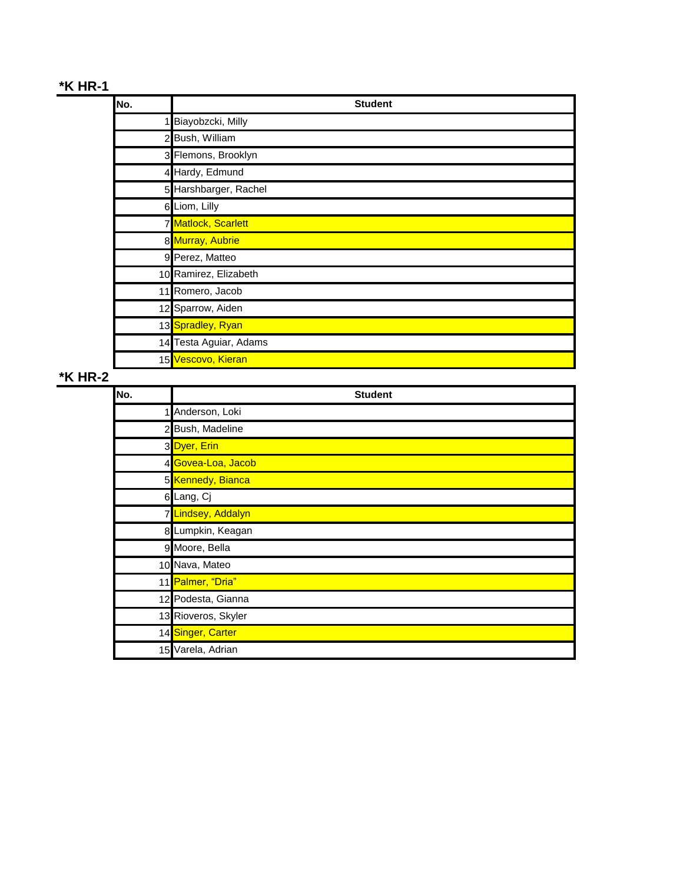# **\*K HR-1**

| No. | <b>Student</b>         |
|-----|------------------------|
|     | 1 Biayobzcki, Milly    |
|     | 2 Bush, William        |
|     | 3 Flemons, Brooklyn    |
|     | 4 Hardy, Edmund        |
|     | 5 Harshbarger, Rachel  |
|     | 6 Liom, Lilly          |
|     | 7 Matlock, Scarlett    |
|     | 8 Murray, Aubrie       |
|     | 9 Perez, Matteo        |
|     | 10 Ramirez, Elizabeth  |
|     | 11 Romero, Jacob       |
|     | 12 Sparrow, Aiden      |
|     | 13 Spradley, Ryan      |
|     | 14 Testa Aguiar, Adams |
|     | 15 Vescovo, Kieran     |

# **\*K HR-2**

| No. | <b>Student</b>      |
|-----|---------------------|
|     | 1 Anderson, Loki    |
|     | 2 Bush, Madeline    |
|     | 3Dyer, Erin         |
|     | 4 Govea-Loa, Jacob  |
|     | 5 Kennedy, Bianca   |
|     | 6 Lang, Cj          |
|     | 7 Lindsey, Addalyn  |
|     | 8 Lumpkin, Keagan   |
|     | 9 Moore, Bella      |
|     | 10 Nava, Mateo      |
|     | 11 Palmer, "Dria"   |
|     | 12 Podesta, Gianna  |
|     | 13 Rioveros, Skyler |
|     | 14 Singer, Carter   |
|     | 15 Varela, Adrian   |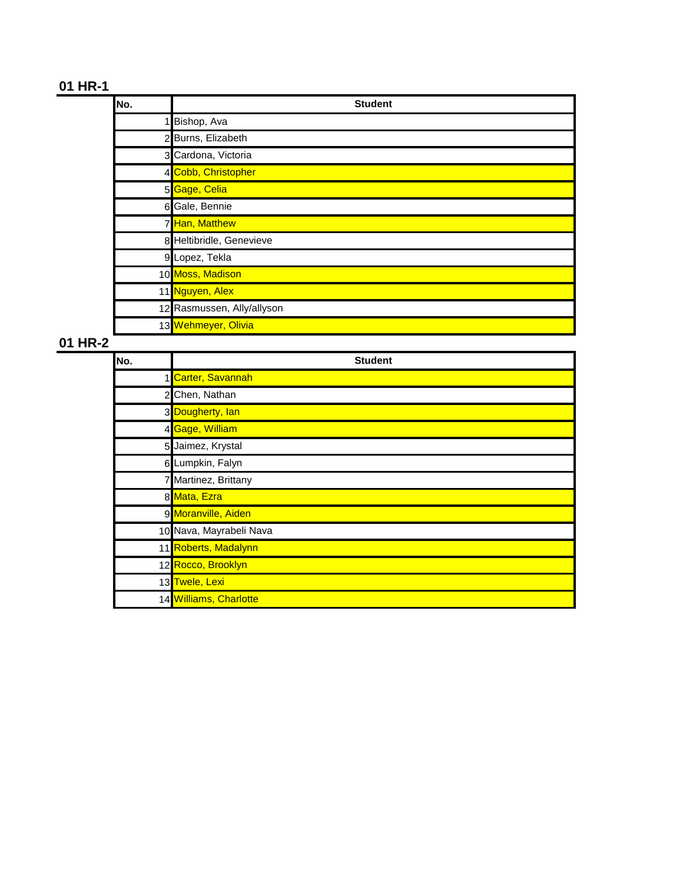| No. | <b>Student</b>             |
|-----|----------------------------|
|     | Bishop, Ava                |
|     | 2 Burns, Elizabeth         |
|     | 3 Cardona, Victoria        |
|     | 4 Cobb, Christopher        |
|     | 5 Gage, Celia              |
|     | 6 Gale, Bennie             |
|     | 7 Han, Matthew             |
|     | 8 Heltibridle, Genevieve   |
|     | 9 Lopez, Tekla             |
|     | 10 Moss, Madison           |
|     | 11 Nguyen, Alex            |
|     | 12 Rasmussen, Ally/allyson |
|     | 13 Wehmeyer, Olivia        |

| No.          | <b>Student</b>          |
|--------------|-------------------------|
|              | 1 Carter, Savannah      |
| $\mathbf{2}$ | Chen, Nathan            |
|              | 3 Dougherty, lan        |
|              | 4 Gage, William         |
|              | 5 Jaimez, Krystal       |
|              | 6 Lumpkin, Falyn        |
|              | 7 Martinez, Brittany    |
|              | 8 Mata, Ezra            |
|              | 9 Moranville, Aiden     |
|              | 10 Nava, Mayrabeli Nava |
|              | 11 Roberts, Madalynn    |
|              | 12 Rocco, Brooklyn      |
|              | 13 Twele, Lexi          |
|              | 14 Williams, Charlotte  |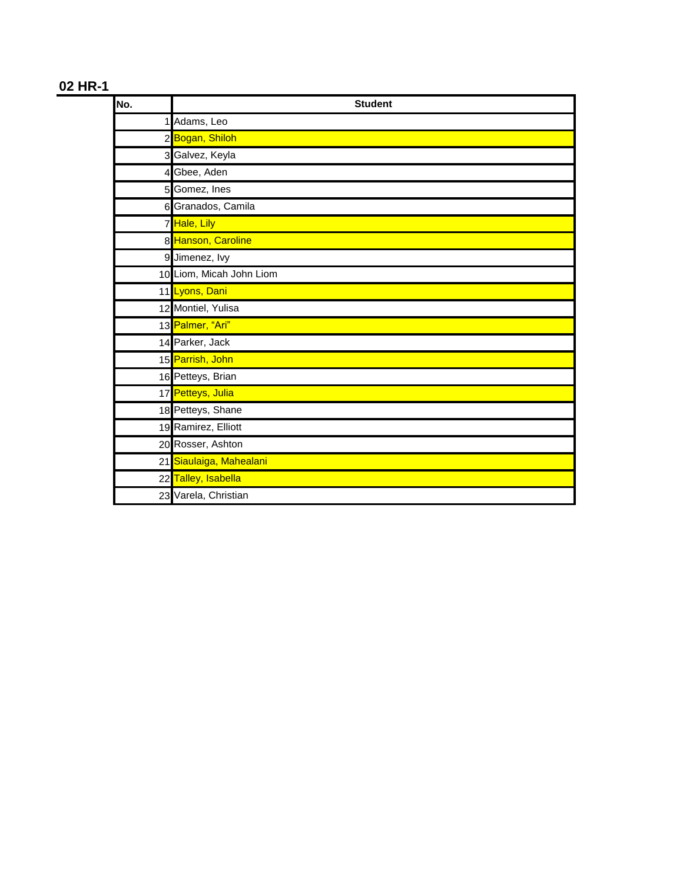| No.            | <b>Student</b>           |
|----------------|--------------------------|
| 1              | Adams, Leo               |
|                | 2 Bogan, Shiloh          |
|                | 3 Galvez, Keyla          |
| $\overline{4}$ | Gbee, Aden               |
|                | 5 Gomez, Ines            |
|                | 6 Granados, Camila       |
|                | 7 Hale, Lily             |
|                | 8 Hanson, Caroline       |
|                | 9 Jimenez, Ivy           |
|                | 10 Liom, Micah John Liom |
|                | 11 Lyons, Dani           |
|                | 12 Montiel, Yulisa       |
|                | 13 Palmer, "Ari"         |
|                | 14 Parker, Jack          |
|                | 15 Parrish, John         |
|                | 16 Petteys, Brian        |
|                | 17 Petteys, Julia        |
|                | 18 Petteys, Shane        |
|                | 19 Ramirez, Elliott      |
|                | 20 Rosser, Ashton        |
| 21             | Siaulaiga, Mahealani     |
|                | 22 Talley, Isabella      |
|                | 23 Varela, Christian     |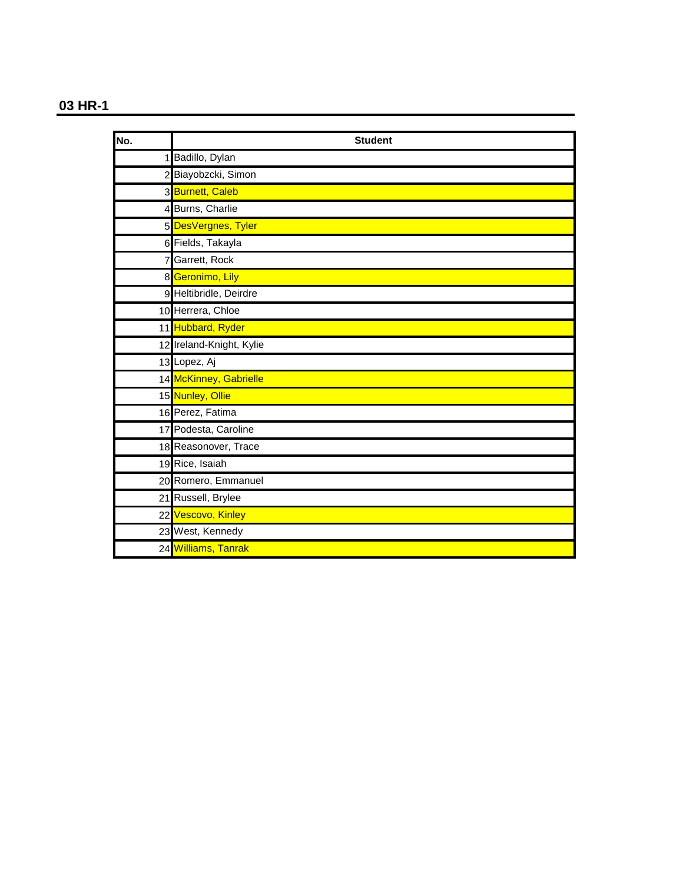| No. | <b>Student</b>           |
|-----|--------------------------|
|     | Badillo, Dylan           |
|     | 2 Biayobzcki, Simon      |
|     | 3 Burnett, Caleb         |
|     | 4 Burns, Charlie         |
|     | 5 DesVergnes, Tyler      |
|     | 6 Fields, Takayla        |
|     | 7 Garrett, Rock          |
|     | 8 Geronimo, Lily         |
|     | 9 Heltibridle, Deirdre   |
|     | 10 Herrera, Chloe        |
|     | 11 Hubbard, Ryder        |
|     | 12 Ireland-Knight, Kylie |
|     | 13 Lopez, Aj             |
|     | 14 McKinney, Gabrielle   |
|     | 15 Nunley, Ollie         |
|     | 16 Perez, Fatima         |
|     | 17 Podesta, Caroline     |
|     | 18 Reasonover, Trace     |
|     | 19 Rice, Isaiah          |
|     | 20 Romero, Emmanuel      |
|     | 21 Russell, Brylee       |
|     | 22 Vescovo, Kinley       |
|     | 23 West, Kennedy         |
|     | 24 Williams, Tanrak      |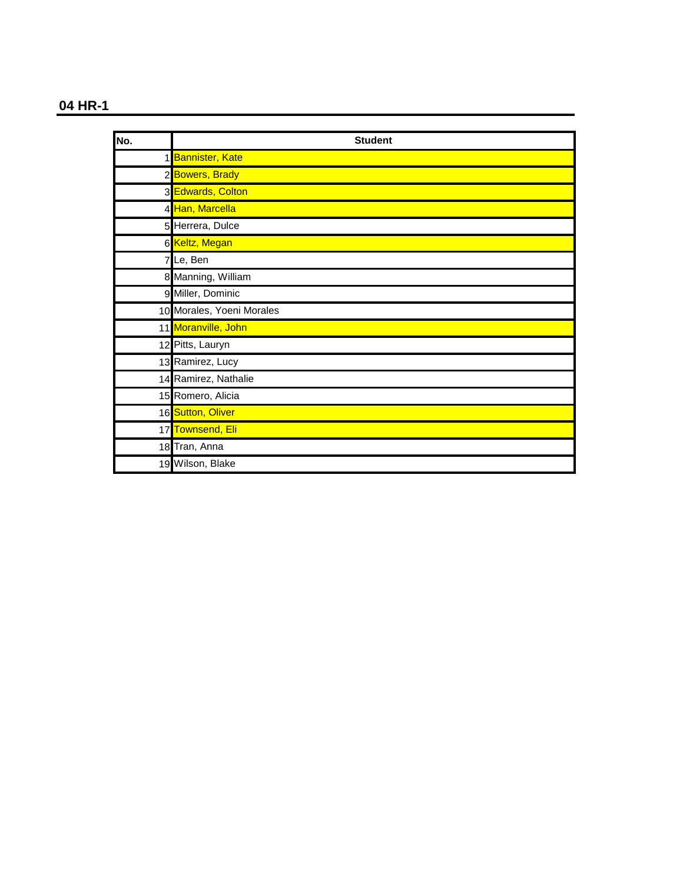| No. | <b>Student</b>            |
|-----|---------------------------|
|     | 1 Bannister, Kate         |
|     | 2 Bowers, Brady           |
|     | 3 Edwards, Colton         |
|     | 4 Han, Marcella           |
|     | 5 Herrera, Dulce          |
|     | 6 Keltz, Megan            |
|     | 7Le, Ben                  |
|     | 8 Manning, William        |
|     | 9 Miller, Dominic         |
|     | 10 Morales, Yoeni Morales |
|     | 11 Moranville, John       |
|     | 12 Pitts, Lauryn          |
|     | 13 Ramirez, Lucy          |
|     | 14 Ramirez, Nathalie      |
|     | 15 Romero, Alicia         |
|     | 16 Sutton, Oliver         |
|     | 17 Townsend, Eli          |
|     | 18 Tran, Anna             |
|     | 19 Wilson, Blake          |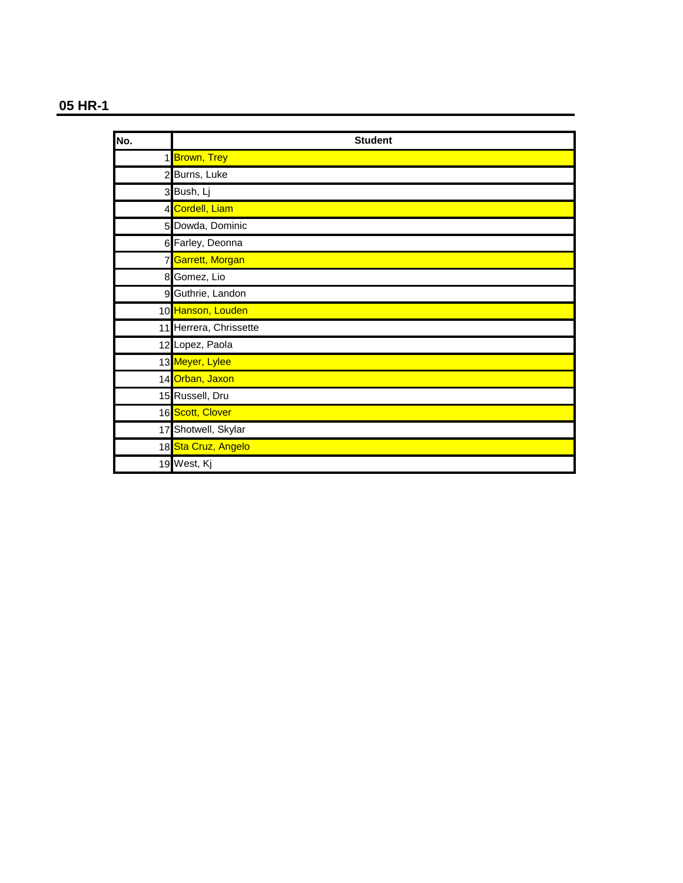| No. | <b>Student</b>         |
|-----|------------------------|
|     | 1 Brown, Trey          |
|     | 2 Burns, Luke          |
|     | 3 Bush, Lj             |
|     | 4 Cordell, Liam        |
|     | 5 Dowda, Dominic       |
|     | 6 Farley, Deonna       |
|     | 7 Garrett, Morgan      |
|     | 8 Gomez, Lio           |
|     | 9 Guthrie, Landon      |
|     | 10 Hanson, Louden      |
|     | 11 Herrera, Chrissette |
|     | 12 Lopez, Paola        |
|     | 13 Meyer, Lylee        |
|     | 14 Orban, Jaxon        |
|     | 15 Russell, Dru        |
|     | 16 Scott, Clover       |
|     | 17 Shotwell, Skylar    |
|     | 18 Sta Cruz, Angelo    |
|     | 19 West, Kj            |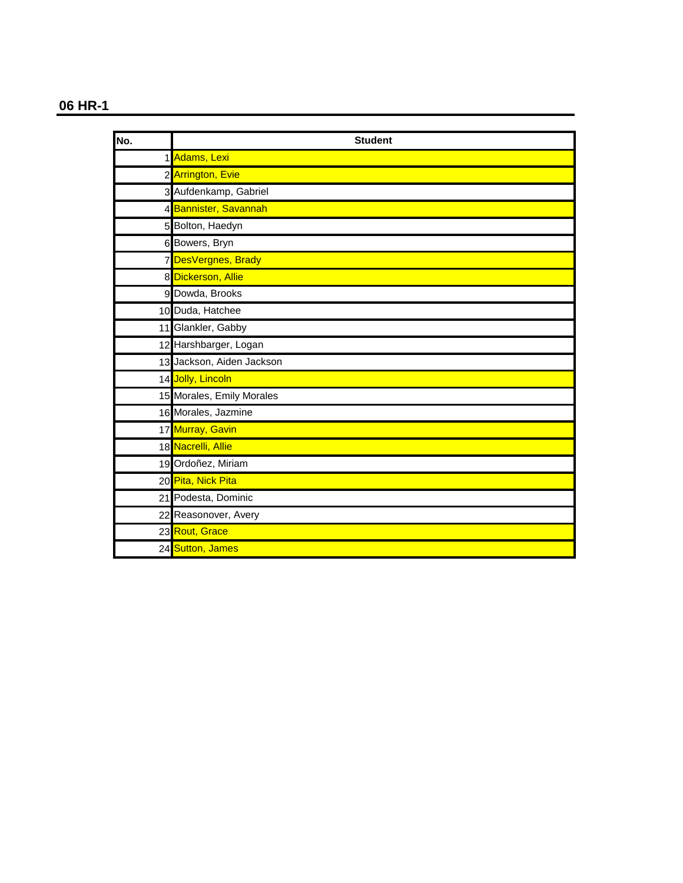| No. | <b>Student</b>            |
|-----|---------------------------|
|     | 1 Adams, Lexi             |
|     | 2 Arrington, Evie         |
|     | 3 Aufdenkamp, Gabriel     |
|     | 4 Bannister, Savannah     |
|     | 5 Bolton, Haedyn          |
|     | 6 Bowers, Bryn            |
|     | 7 DesVergnes, Brady       |
|     | 8 Dickerson, Allie        |
|     | 9 Dowda, Brooks           |
|     | 10 Duda, Hatchee          |
|     | 11 Glankler, Gabby        |
|     | 12 Harshbarger, Logan     |
|     | 13 Jackson, Aiden Jackson |
|     | 14 Jolly, Lincoln         |
|     | 15 Morales, Emily Morales |
|     | 16 Morales, Jazmine       |
|     | 17 Murray, Gavin          |
|     | 18 Nacrelli, Allie        |
|     | 19 Ordoñez, Miriam        |
|     | 20 Pita, Nick Pita        |
|     | 21 Podesta, Dominic       |
|     | 22 Reasonover, Avery      |
|     | 23 Rout, Grace            |
|     | 24 Sutton, James          |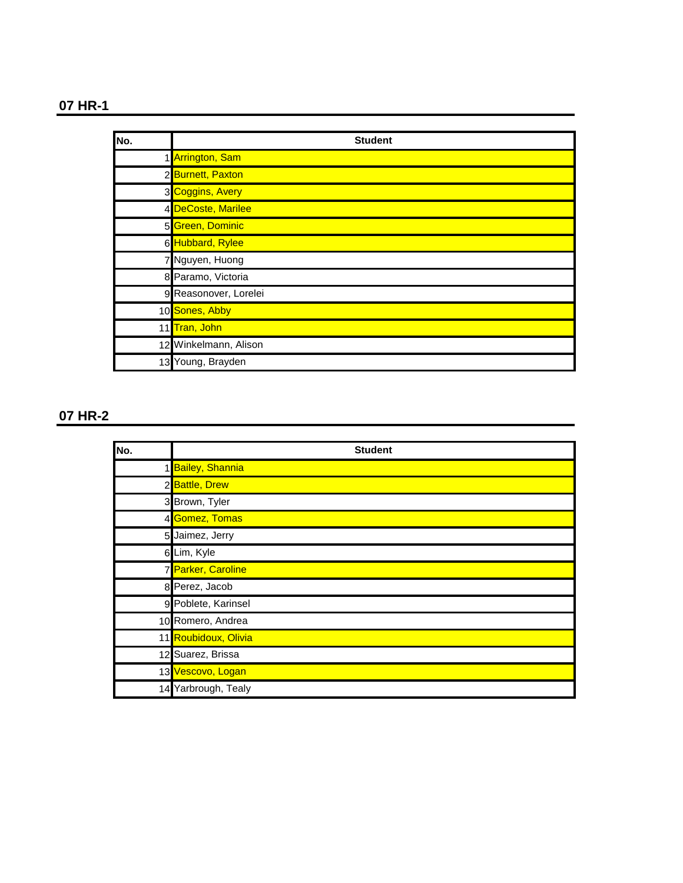| No. | <b>Student</b>        |
|-----|-----------------------|
|     | 1 Arrington, Sam      |
|     | 2 Burnett, Paxton     |
|     | 3 Coggins, Avery      |
|     | 4 DeCoste, Marilee    |
|     | 5 Green, Dominic      |
|     | 6 Hubbard, Rylee      |
|     | 7 Nguyen, Huong       |
|     | 8 Paramo, Victoria    |
|     | 9 Reasonover, Lorelei |
|     | 10 Sones, Abby        |
|     | 11 Tran, John         |
|     | 12 Winkelmann, Alison |
|     | 13 Young, Brayden     |

| No. | <b>Student</b>       |
|-----|----------------------|
|     | 1 Bailey, Shannia    |
|     | 2 Battle, Drew       |
|     | 3 Brown, Tyler       |
|     | 4 Gomez, Tomas       |
|     | 5 Jaimez, Jerry      |
|     | 6 Lim, Kyle          |
|     | 7 Parker, Caroline   |
|     | 8 Perez, Jacob       |
|     | 9 Poblete, Karinsel  |
|     | 10 Romero, Andrea    |
|     | 11 Roubidoux, Olivia |
|     | 12 Suarez, Brissa    |
|     | 13 Vescovo, Logan    |
| 14  | Yarbrough, Tealy     |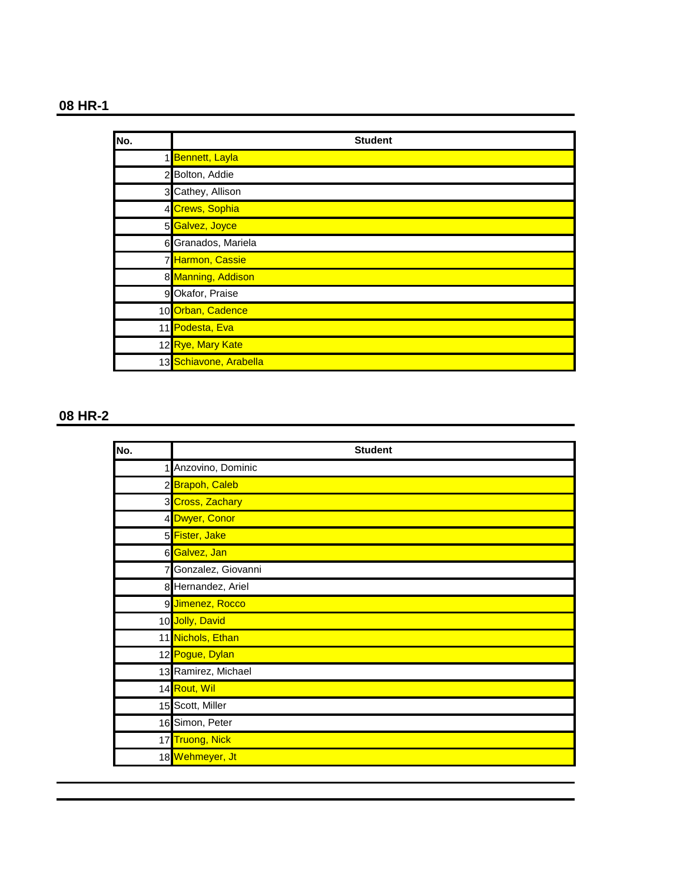| No. | <b>Student</b>         |
|-----|------------------------|
|     | 1 Bennett, Layla       |
|     | 2 Bolton, Addie        |
|     | 3 Cathey, Allison      |
|     | 4 Crews, Sophia        |
|     | 5 Galvez, Joyce        |
|     | 6 Granados, Mariela    |
|     | 7 Harmon, Cassie       |
|     | 8 Manning, Addison     |
|     | 9 Okafor, Praise       |
|     | 10 Orban, Cadence      |
|     | 11 Podesta, Eva        |
|     | 12 Rye, Mary Kate      |
|     | 13 Schiavone, Arabella |

| No. | <b>Student</b>      |
|-----|---------------------|
| 1   | Anzovino, Dominic   |
|     | 2 Brapoh, Caleb     |
|     | 3 Cross, Zachary    |
|     | 4 Dwyer, Conor      |
|     | 5 Fister, Jake      |
|     | 6 Galvez, Jan       |
|     | Gonzalez, Giovanni  |
|     | 8 Hernandez, Ariel  |
|     | 9 Jimenez, Rocco    |
|     | 10 Jolly, David     |
|     | 11 Nichols, Ethan   |
|     | 12 Pogue, Dylan     |
|     | 13 Ramirez, Michael |
|     | 14 Rout, Wil        |
|     | 15 Scott, Miller    |
|     | 16 Simon, Peter     |
|     | 17 Truong, Nick     |
|     | 18 Wehmeyer, Jt     |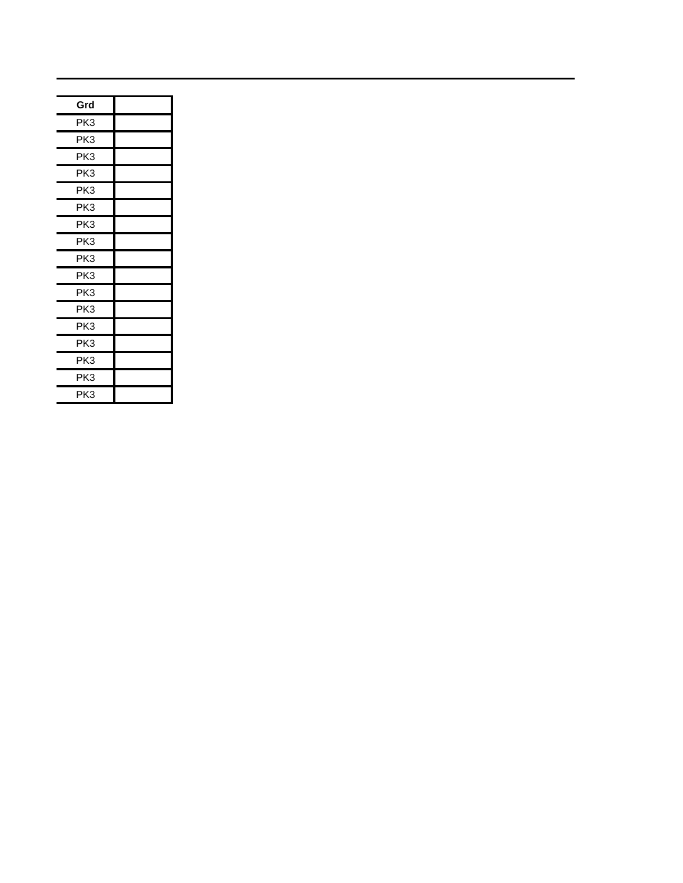| Grd             |  |
|-----------------|--|
| PK3             |  |
| PK3             |  |
| PK3             |  |
| PK3             |  |
| PK3             |  |
| PK3             |  |
| PK3             |  |
| PK3             |  |
| PK3             |  |
| PK3             |  |
| PK3             |  |
| PK3             |  |
| PK3             |  |
| PK3             |  |
| PK <sub>3</sub> |  |
| PK3             |  |
| PK3             |  |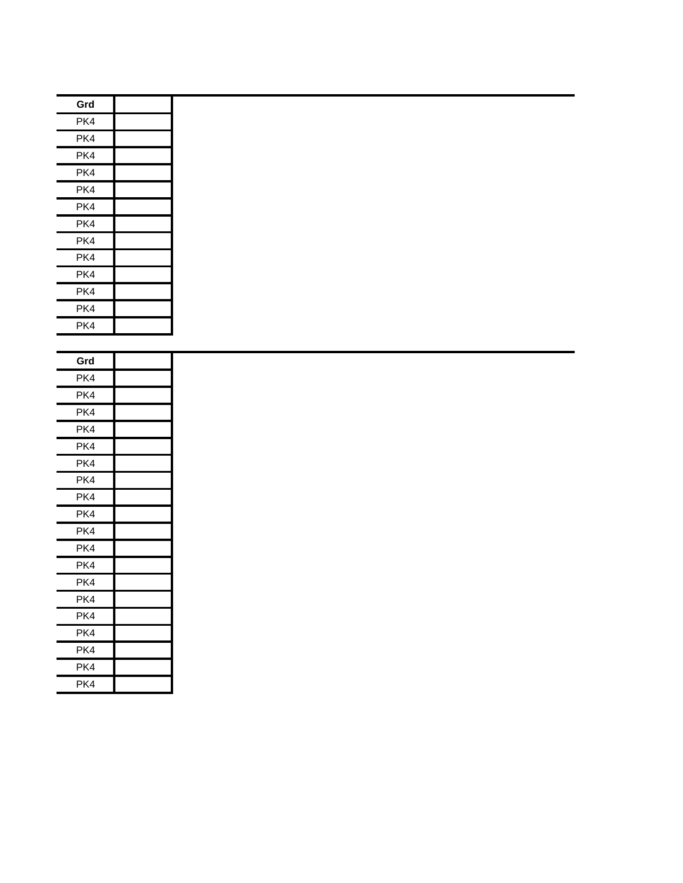| Grd |  |
|-----|--|
| PK4 |  |
| PK4 |  |
| PK4 |  |
| PK4 |  |
| PK4 |  |
| PK4 |  |
| PK4 |  |
| PK4 |  |
| PK4 |  |
| PK4 |  |
| PK4 |  |
| PK4 |  |
| PK4 |  |

| Grd |  |
|-----|--|
| PK4 |  |
| PK4 |  |
| PK4 |  |
| PK4 |  |
| PK4 |  |
| PK4 |  |
| PK4 |  |
| PK4 |  |
| PK4 |  |
| PK4 |  |
| PK4 |  |
| PK4 |  |
| PK4 |  |
| PK4 |  |
| PK4 |  |
| PK4 |  |
| PK4 |  |
| PK4 |  |
| PK4 |  |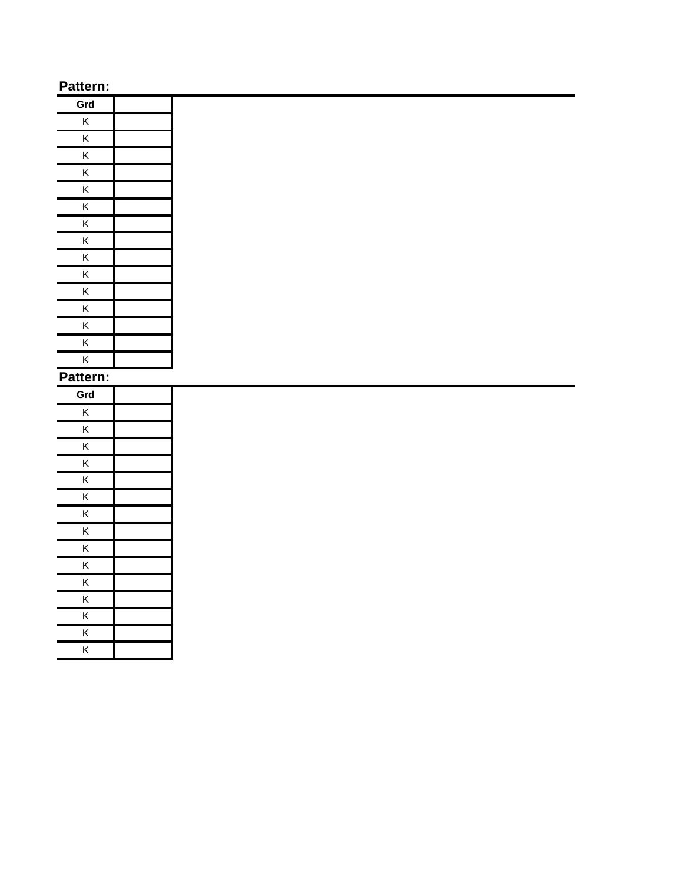| Grd                     |  |
|-------------------------|--|
| Κ                       |  |
| K                       |  |
| $\overline{\mathsf{K}}$ |  |
| $\overline{\mathsf{K}}$ |  |
| K                       |  |
| $\overline{\mathsf{K}}$ |  |
| $\overline{\mathsf{K}}$ |  |
| $\overline{\mathsf{K}}$ |  |
| $\overline{\mathsf{K}}$ |  |
| $\overline{\mathsf{K}}$ |  |
| $\overline{\mathsf{K}}$ |  |
| K                       |  |
| $\overline{\mathsf{K}}$ |  |
| $\overline{\mathsf{K}}$ |  |
| K                       |  |
|                         |  |

| Grd                     |  |
|-------------------------|--|
| K                       |  |
| K                       |  |
| $\overline{\mathsf{K}}$ |  |
| $\overline{\mathsf{K}}$ |  |
| $\overline{\mathsf{K}}$ |  |
| K                       |  |
| $\overline{\mathsf{K}}$ |  |
| $\overline{\mathsf{K}}$ |  |
| $\overline{\mathsf{K}}$ |  |
| K                       |  |
| $\overline{\mathsf{K}}$ |  |
| $\overline{\mathsf{K}}$ |  |
| K                       |  |
| $\overline{\mathsf{K}}$ |  |
| $\overline{\mathsf{k}}$ |  |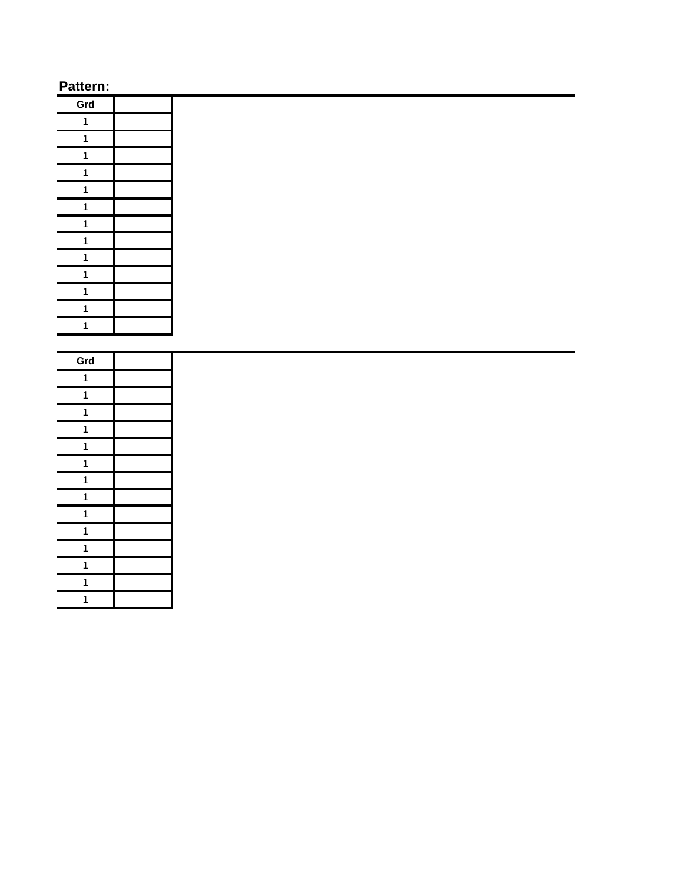| Grd                     |  |
|-------------------------|--|
| 1                       |  |
| 1                       |  |
| 1                       |  |
| 1                       |  |
| $\mathbf{1}$            |  |
| 1                       |  |
| $\overline{\mathbf{1}}$ |  |
| $\overline{\mathbf{1}}$ |  |
| $\mathbf{1}$            |  |
| 1                       |  |
| $\mathbf{1}$            |  |
| $\overline{1}$          |  |
| 1                       |  |

| Grd                     |  |
|-------------------------|--|
| 1                       |  |
| 1                       |  |
| $\overline{\mathbf{1}}$ |  |
| 1                       |  |
| $\mathbf{1}$            |  |
| 1                       |  |
| $\mathbf{1}$            |  |
| 1                       |  |
| $\overline{\mathbf{1}}$ |  |
| 1                       |  |
| $\mathbf{1}$            |  |
| 1                       |  |
| 1                       |  |
| 1                       |  |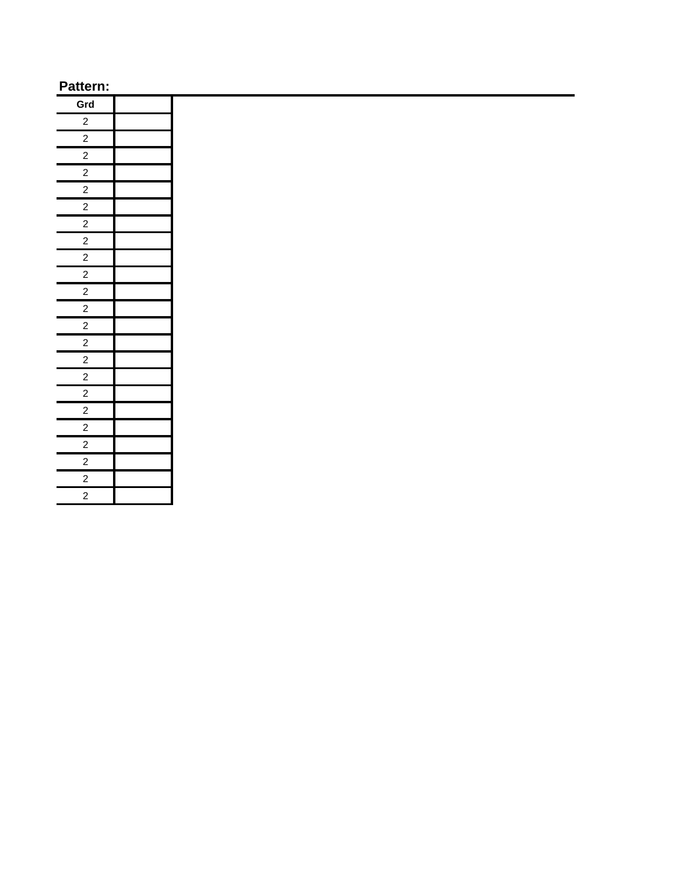| Grd                     |  |
|-------------------------|--|
| $\overline{a}$          |  |
| $\frac{2}{2}$           |  |
|                         |  |
| $\overline{\mathbf{c}}$ |  |
| $\overline{2}$          |  |
| $\overline{2}$          |  |
| $\overline{2}$          |  |
| $\overline{2}$          |  |
| $\overline{2}$          |  |
| $\frac{2}{2}$           |  |
|                         |  |
| $\overline{2}$          |  |
| $\overline{2}$          |  |
| $\frac{2}{\sqrt{2}}$    |  |
| $\overline{2}$          |  |
| $\overline{2}$          |  |
| $\frac{2}{2}$           |  |
|                         |  |
| $\frac{2}{2}$           |  |
|                         |  |
| $\overline{2}$          |  |
| $\frac{1}{2}$           |  |
| $\overline{2}$          |  |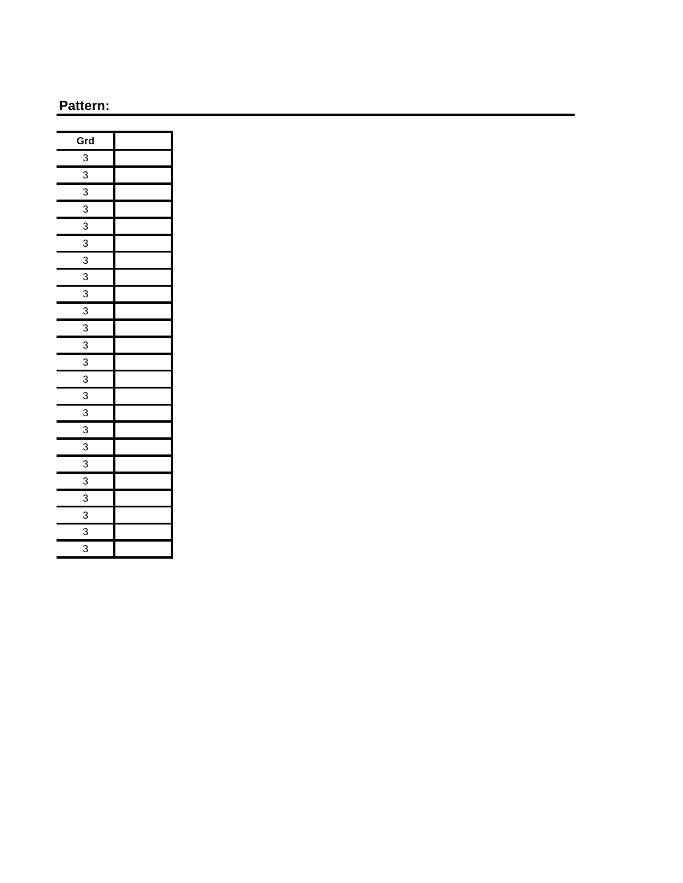| Grd            |  |
|----------------|--|
| $\overline{3}$ |  |
| $\overline{3}$ |  |
| 3              |  |
| $\overline{3}$ |  |
| 3              |  |
| 3              |  |
| 3              |  |
| $\overline{3}$ |  |
| 3              |  |
| $\overline{3}$ |  |
| $\overline{3}$ |  |
| 3              |  |
| 3              |  |
| $\overline{3}$ |  |
| 3              |  |
| 3              |  |
| $\overline{3}$ |  |
| 3              |  |
| 3              |  |
| 3              |  |
| 3              |  |
| 3              |  |
| 3              |  |
| 3              |  |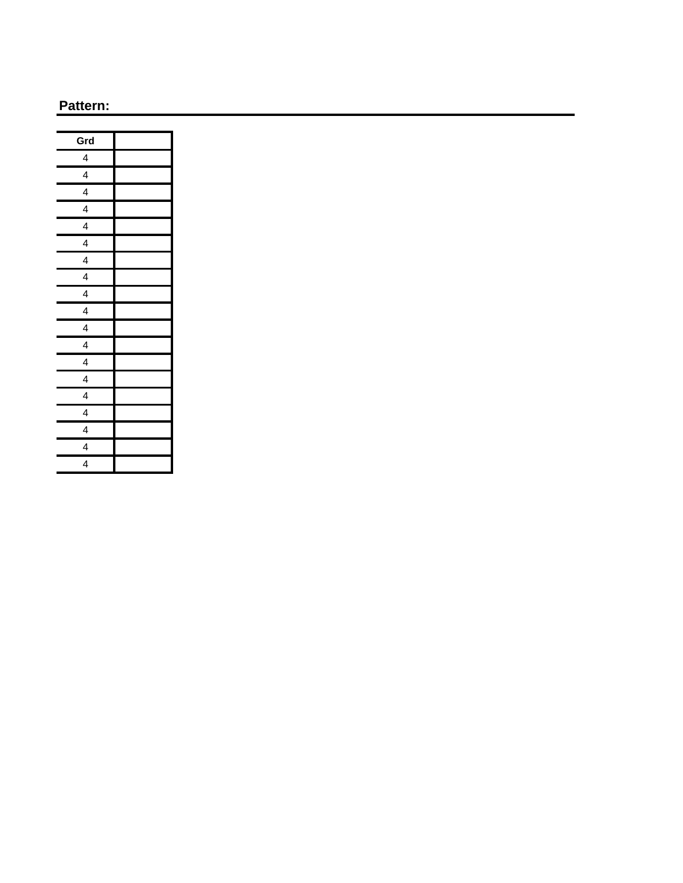| Grd                     |  |
|-------------------------|--|
| 4                       |  |
| 4                       |  |
| $\overline{\mathbf{4}}$ |  |
| 4                       |  |
| 4                       |  |
| 4                       |  |
| 4                       |  |
| $\overline{\mathbf{4}}$ |  |
| 4                       |  |
| $\overline{\mathbf{4}}$ |  |
| 4                       |  |
| 4                       |  |
| 4                       |  |
| $\overline{\mathbf{4}}$ |  |
| $\overline{\mathbf{r}}$ |  |
| 4                       |  |
| $\overline{\mathbf{4}}$ |  |
| $\overline{\mathbf{4}}$ |  |
| 4                       |  |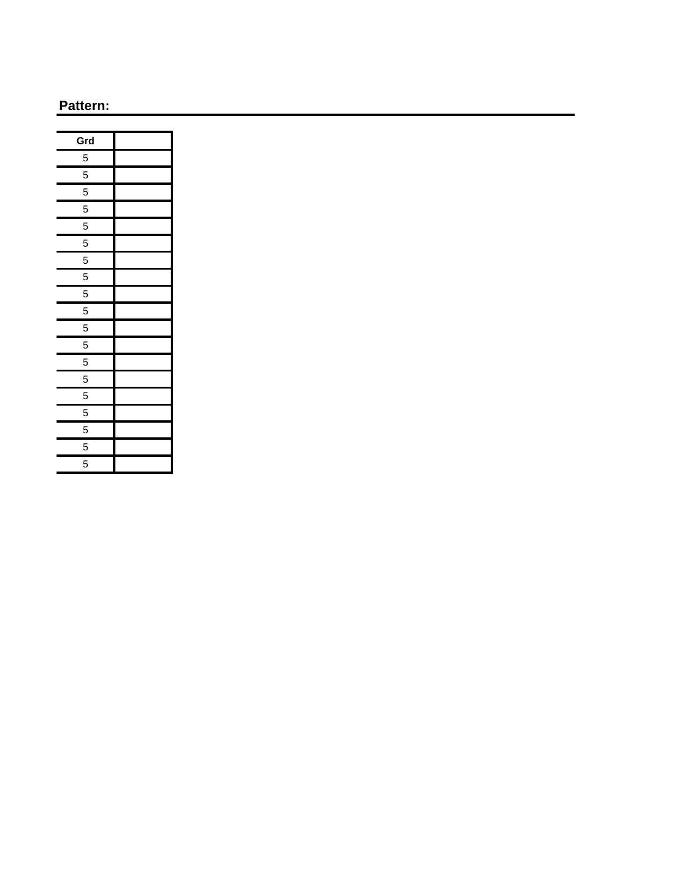| Grd            |  |
|----------------|--|
| 5              |  |
| 5              |  |
| 5              |  |
| 5              |  |
| 5              |  |
| 5              |  |
| 5              |  |
| 5              |  |
| 5              |  |
| 5              |  |
| 5              |  |
| 5              |  |
| 5              |  |
| 5              |  |
| $\overline{5}$ |  |
| 5              |  |
| 5              |  |
| 5              |  |
| 5              |  |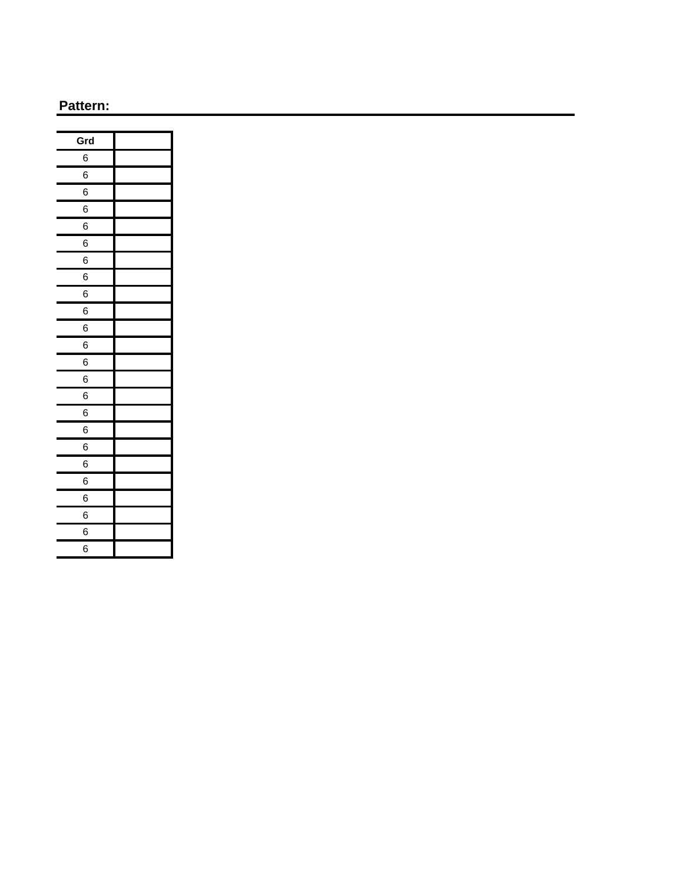| Grd |  |
|-----|--|
| 6   |  |
| 6   |  |
| 6   |  |
| 6   |  |
| 6   |  |
| 6   |  |
| 6   |  |
| 6   |  |
| 6   |  |
| 6   |  |
| 6   |  |
| 6   |  |
| 6   |  |
| 6   |  |
| 6   |  |
| 6   |  |
| 6   |  |
| 6   |  |
| 6   |  |
| 6   |  |
| 6   |  |
| 6   |  |
| 6   |  |
| 6   |  |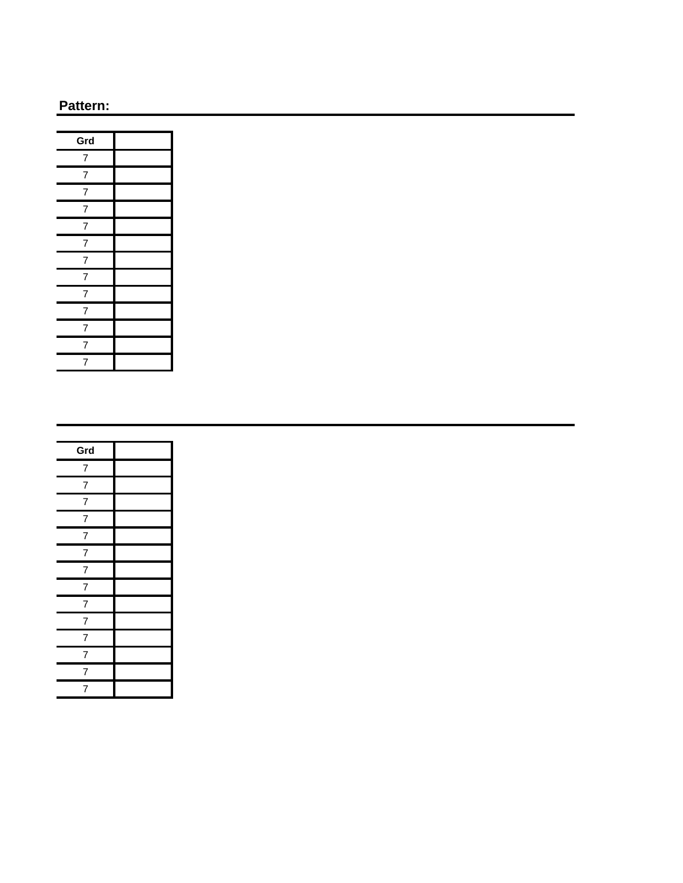| Grd            |  |
|----------------|--|
| 7              |  |
| $\overline{7}$ |  |
| $\overline{7}$ |  |
| $\overline{7}$ |  |
| $\overline{7}$ |  |
| $\overline{7}$ |  |
| $\overline{7}$ |  |
| $\overline{7}$ |  |
| $\overline{7}$ |  |
| $\overline{7}$ |  |
| $\overline{7}$ |  |
| $\overline{7}$ |  |
| 7              |  |

| Grd            |  |
|----------------|--|
| $\overline{7}$ |  |
| $\overline{7}$ |  |
| $\overline{7}$ |  |
| $\overline{7}$ |  |
| $\overline{7}$ |  |
| $\overline{7}$ |  |
| $\overline{7}$ |  |
| $\overline{7}$ |  |
| $\overline{7}$ |  |
| $\overline{7}$ |  |
| $\overline{7}$ |  |
| $\overline{7}$ |  |
| $\overline{7}$ |  |
| $\overline{7}$ |  |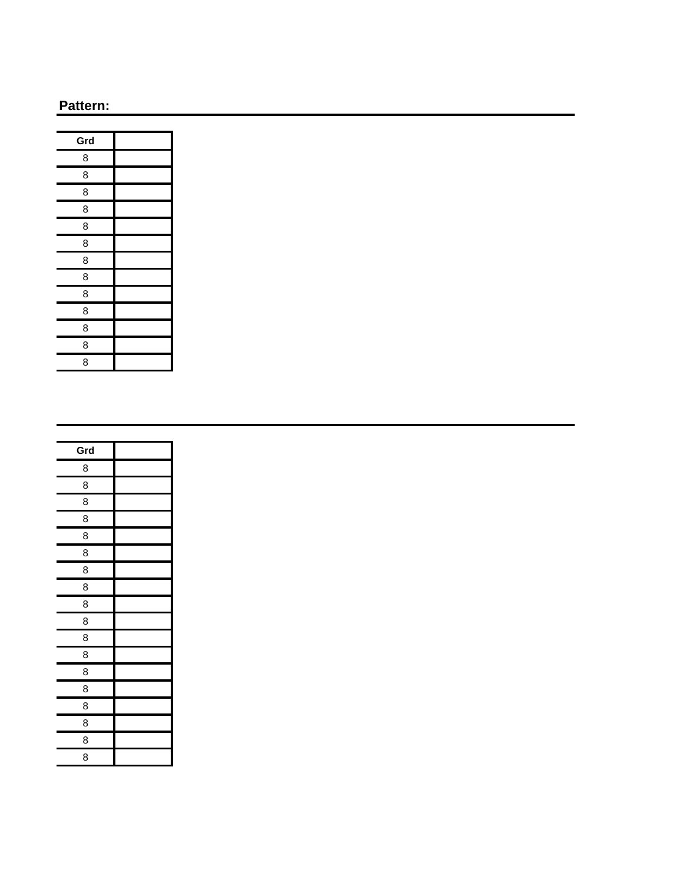| Grd |  |
|-----|--|
| 8   |  |
| 8   |  |
| 8   |  |
| 8   |  |
| 8   |  |
| 8   |  |
| 8   |  |
| 8   |  |
| 8   |  |
| 8   |  |
| 8   |  |
| 8   |  |
| 8   |  |

| Grd |  |
|-----|--|
| 8   |  |
| 8   |  |
| 8   |  |
| 8   |  |
| 8   |  |
| 8   |  |
| 8   |  |
| 8   |  |
| 8   |  |
| 8   |  |
| 8   |  |
| 8   |  |
| 8   |  |
| 8   |  |
| 8   |  |
| 8   |  |
| 8   |  |
| 8   |  |